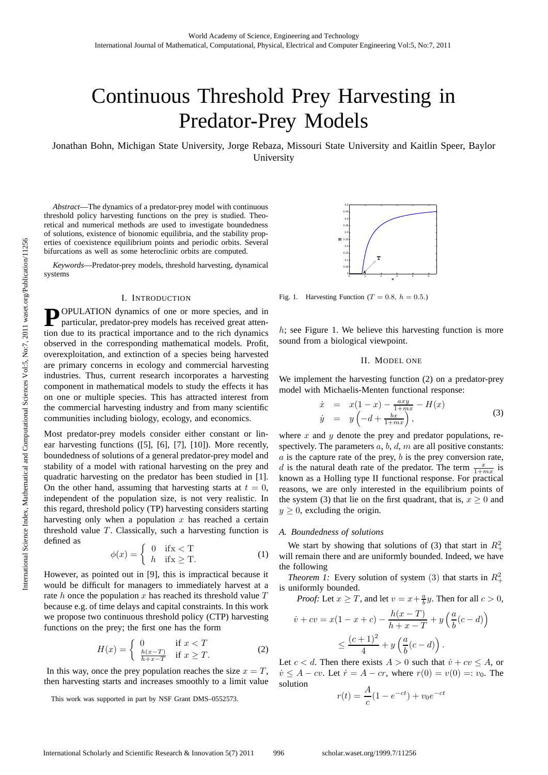# Continuous Threshold Prey Harvesting in Predator-Prey Models

Jonathan Bohn, Michigan State University, Jorge Rebaza, Missouri State University and Kaitlin Speer, Baylor University

*Abstract*—The dynamics of a predator-prey model with continuous threshold policy harvesting functions on the prey is studied. Theoretical and numerical methods are used to investigate boundedness of solutions, existence of bionomic equilibria, and the stability properties of coexistence equilibrium points and periodic orbits. Several bifurcations as well as some heteroclinic orbits are computed.

*Keywords*—Predator-prey models, threshold harvesting, dynamical systems

#### I. INTRODUCTION

**P** OPULATION dynamics of one or more species, and in particular, predator-prey models has received great attention due to its practical importance and to the rich dynamics observed in the corresponding mathematical models. Profit, overexploitation, and extinction of a species being harvested are primary concerns in ecology and commercial harvesting industries. Thus, current research incorporates a harvesting component in mathematical models to study the effects it has on one or multiple species. This has attracted interest from the commercial harvesting industry and from many scientific communities including biology, ecology, and economics.

Most predator-prey models consider either constant or linear harvesting functions ([5], [6], [7], [10]). More recently, boundedness of solutions of a general predator-prey model and stability of a model with rational harvesting on the prey and quadratic harvesting on the predator has been studied in [1]. On the other hand, assuming that harvesting starts at  $t = 0$ , independent of the population size, is not very realistic. In this regard, threshold policy (TP) harvesting considers starting harvesting only when a population  $x$  has reached a certain threshold value  $T$ . Classically, such a harvesting function is defined as

$$
\phi(x) = \begin{cases} 0 & \text{if } x < T \\ h & \text{if } x \ge T. \end{cases}
$$
 (1)

However, as pointed out in [9], this is impractical because it would be difficult for managers to immediately harvest at a rate h once the population x has reached its threshold value  $T$ because e.g. of time delays and capital constraints. In this work we propose two continuous threshold policy (CTP) harvesting functions on the prey; the first one has the form

$$
H(x) = \begin{cases} 0 & \text{if } x < T \\ \frac{h(x-T)}{h+x-T} & \text{if } x \ge T. \end{cases}
$$
 (2)

In this way, once the prey population reaches the size  $x = T$ , then harvesting starts and increases smoothly to a limit value

This work was supported in part by NSF Grant DMS–0552573.



Fig. 1. Harvesting Function ( $T = 0.8$ ,  $h = 0.5$ .)

 $h$ ; see Figure 1. We believe this harvesting function is more sound from a biological viewpoint.

## II. MODEL ONE

We implement the harvesting function (2) on a predator-prey model with Michaelis-Menten functional response:

$$
\begin{array}{rcl}\n\dot{x} & = & x(1-x) - \frac{axy}{1+mx} - H(x) \\
\dot{y} & = & y\left(-d + \frac{bx}{1+mx}\right),\n\end{array} \tag{3}
$$

where  $x$  and  $y$  denote the prey and predator populations, respectively. The parameters  $a, b, d, m$  are all positive constants:  $a$  is the capture rate of the prey,  $b$  is the prey conversion rate, d is the natural death rate of the predator. The term  $\frac{x}{1+mx}$  is known as a Holling type II functional response. For practical reasons, we are only interested in the equilibrium points of the system (3) that lie on the first quadrant, that is,  $x \ge 0$  and  $y \geq 0$ , excluding the origin.

#### *A. Boundedness of solutions*

We start by showing that solutions of (3) that start in  $R_+^2$ will remain there and are uniformly bounded. Indeed, we have the following

*Theorem 1:* Every solution of system (3) that starts in  $R_+^2$ is uniformly bounded.

*Proof:* Let  $x \geq T$ , and let  $v = x + \frac{a}{b}y$ . Then for all  $c > 0$ ,

$$
\dot{v} + cv = x(1 - x + c) - \frac{h(x - T)}{h + x - T} + y\left(\frac{a}{b}(c - d)\right) \\
\leq \frac{(c + 1)^2}{4} + y\left(\frac{a}{b}(c - d)\right).
$$

Let  $c < d$ . Then there exists  $A > 0$  such that  $\dot{v} + cv \leq A$ , or  $\dot{v} \leq A - cv$ . Let  $\dot{r} = A - cr$ , where  $r(0) = v(0) =: v_0$ . The solution

$$
r(t) = \frac{A}{c}(1 - e^{-ct}) + v_0 e^{-ct}
$$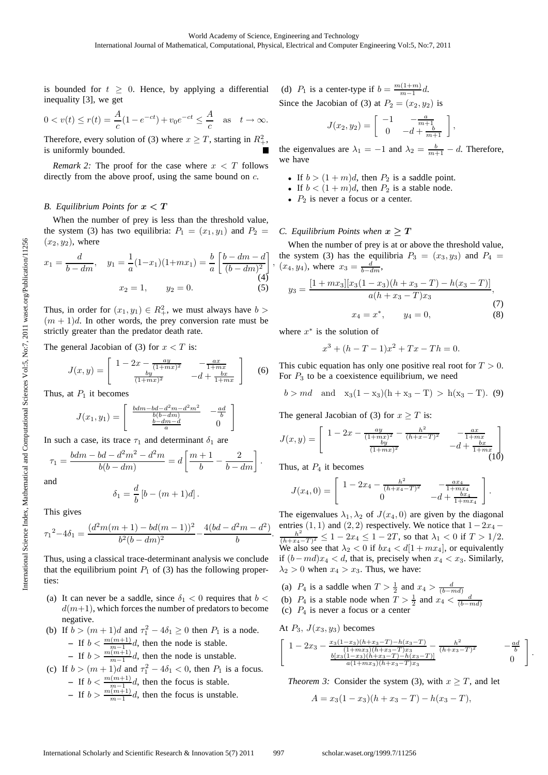is bounded for  $t \geq 0$ . Hence, by applying a differential inequality [3], we get

$$
0 < v(t) \le r(t) = \frac{A}{c}(1 - e^{-ct}) + v_0 e^{-ct} \le \frac{A}{c}
$$
 as  $t \to \infty$ .

Therefore, every solution of (3) where  $x \geq T$ , starting in  $R_+^2$ , is uniformly bounded.

*Remark 2:* The proof for the case where  $x < T$  follows directly from the above proof, using the same bound on  $c$ .

## *B. Equilibrium Points for*  $x < T$

When the number of prey is less than the threshold value, the system (3) has two equilibria:  $P_1 = (x_1, y_1)$  and  $P_2 =$  $(x_2, y_2)$ , where

$$
x_1 = \frac{d}{b - dm}, \quad y_1 = \frac{1}{a}(1 - x_1)(1 + mx_1) = \frac{b}{a} \left[ \frac{b - dm - d}{(b - dm)^2} \right]
$$
  
(4)  

$$
x_2 = 1, \quad y_2 = 0.
$$
 (5)

Thus, in order for  $(x_1, y_1) \in R_+^2$ , we must always have  $b >$  $(m + 1)d$ . In other words, the prey conversion rate must be strictly greater than the predator death rate.

The general Jacobian of (3) for  $x < T$  is:

$$
J(x,y) = \begin{bmatrix} 1 - 2x - \frac{ay}{(1+mx)^2} & -\frac{ax}{1+mx} \\ \frac{by}{(1+mx)^2} & -d + \frac{bx}{1+mx} \end{bmatrix}
$$
 (6)

Thus, at  $P_1$  it becomes

$$
J(x_1, y_1) = \begin{bmatrix} \frac{bdm - bd - d^2m - d^2m^2}{b(b-dm)} & -\frac{ad}{b} \\ \frac{b-dm - d}{a} & 0 \end{bmatrix}
$$

In such a case, its trace  $\tau_1$  and determinant  $\delta_1$  are

$$
\tau_1=\frac{bdm-bd-d^2m^2-d^2m}{b(b-dm)}=d\left[\frac{m+1}{b}-\frac{2}{b-dm}\right].
$$
 and

$$
\delta_1 = \frac{d}{b} \left[ b - (m+1)d \right].
$$

This gives

$$
{\tau_1}^2-4\delta_1=\frac{(d^2m(m+1)-bd(m-1))^2}{b^2(b-dm)^2}-\frac{4(bd-d^2m-d^2)}{b}.
$$

Thus, using a classical trace-determinant analysis we conclude that the equilibrium point  $P_1$  of (3) has the following properties:

- (a) It can never be a saddle, since  $\delta_1 < 0$  requires that  $b <$  $d(m+1)$ , which forces the number of predators to become negative.
- (b) If  $b > (m+1)d$  and  $\tau_1^2 4\delta_1 \ge 0$  then  $P_1$  is a node. **–** If  $b < \frac{m(m+1)}{m-1}d$ , then the node is stable. **−** If  $b > \frac{m(m+1)}{m-1}d$ , then the node is unstable.
- (c) If  $b > (m+1)d$  and  $\tau_1^2 4\delta_1 < 0$ , then  $P_1$  is a focus.  $-$  If  $b < \frac{m(m+1)}{m-1}d$ , then the focus is stable.  $-$  If  $b > \frac{m(m+1)}{m-1}d$ , then the focus is unstable.

(d)  $P_1$  is a center-type if  $b = \frac{m(1+m)}{m-1}d$ . Since the Jacobian of (3) at  $P_2 = (x_2, y_2)$  is

$$
J(x_2, y_2) = \begin{bmatrix} -1 & -\frac{a}{m+1} \\ 0 & -d + \frac{b}{m+1} \end{bmatrix},
$$

the eigenvalues are  $\lambda_1 = -1$  and  $\lambda_2 = \frac{b}{m+1} - d$ . Therefore, we have

- If  $b > (1 + m)d$ , then  $P_2$  is a saddle point.
- If  $b < (1 + m)d$ , then  $P_2$  is a stable node.
- $P_2$  is never a focus or a center.

### *C. Equilibrium Points when*  $x \geq T$

 $, (x_4, y_4)$ , where  $x_3 = \frac{d}{b-dm}$ , When the number of prey is at or above the threshold value, the system (3) has the equilibria  $P_3 = (x_3, y_3)$  and  $P_4 =$ 

$$
y_3 = \frac{[1 + mx_3][x_3(1 - x_3)(h + x_3 - T) - h(x_3 - T)]}{a(h + x_3 - T)x_3},
$$
  
(7)  

$$
x_4 = x^*, \qquad y_4 = 0,
$$
 (8)

where  $x^*$  is the solution of

$$
x^3 + (h - T - 1)x^2 + Tx - Th = 0.
$$

This cubic equation has only one positive real root for  $T > 0$ . For  $P_3$  to be a coexistence equilibrium, we need

$$
b > md
$$
 and  $x_3(1 - x_3)(h + x_3 - T) > h(x_3 - T)$ . (9)

The general Jacobian of (3) for  $x > T$  is:

$$
J(x,y) = \begin{bmatrix} 1 - 2x - \frac{ay}{(1+mx)^2} - \frac{h^2}{(h+x-T)^2} & -\frac{ax}{1+mx} \\ \frac{by}{(1+mx)^2} & -d + \frac{bx}{1+mx} \end{bmatrix}
$$
(10)

Thus, at  $P_4$  it becomes

$$
J(x_4,0) = \begin{bmatrix} 1 - 2x_4 - \frac{h^2}{(h+x_4-T)^2} & -\frac{ax_4}{1+mx_4} \\ 0 & -d + \frac{bx_4}{1+mx_4} \end{bmatrix}.
$$

The eigenvalues  $\lambda_1, \lambda_2$  of  $J(x_4, 0)$  are given by the diagonal entries  $(1, 1)$  and  $(2, 2)$  respectively. We notice that  $1-2x_4 \frac{h^2}{(h+x_4-T)^2} \leq 1-2x_4 \leq 1-2T$ , so that  $\lambda_1 < 0$  if  $T > 1/2$ . We also see that  $\lambda_2 < 0$  if  $bx_4 < d[1 + mx_4]$ , or equivalently if  $(b - md)x_4 < d$ , that is, precisely when  $x_4 < x_3$ . Similarly,  $\lambda_2 > 0$  when  $x_4 > x_3$ . Thus, we have:

(a)  $P_4$  is a saddle when  $T > \frac{1}{2}$  and  $x_4 > \frac{d}{(b - md)}$ <br>(b)  $P_4$  is a stable node when  $T > \frac{1}{2}$  and  $x_4 < \frac{d}{(b - md)}$ 

- 
- (c)  $P_4$  is never a focus or a center

At  $P_3$ ,  $J(x_3, y_3)$  becomes

$$
\begin{bmatrix}\n1 - 2x_3 - \frac{x_3(1 - x_3)(h + x_3 - T) - h(x_3 - T)}{(1 + mx_3)(h + x_3 - T)x_3} - \frac{h^2}{(h + x_3 - T)^2} & -\frac{ad}{b} \\
\frac{b[x_3(1 - x_3)(h + x_3 - T) - h(x_3 - T)]}{a(1 + mx_3)(h + x_3 - T)x_3} & 0\n\end{bmatrix}
$$

.

*Theorem 3:* Consider the system (3), with  $x > T$ , and let

$$
A = x_3(1 - x_3)(h + x_3 - T) - h(x_3 - T),
$$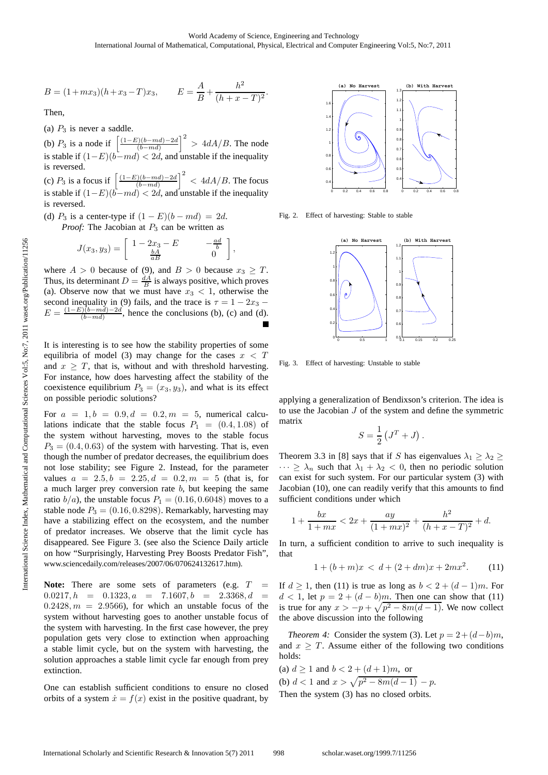$$
B = (1 + mx_3)(h + x_3 - T)x_3, \qquad E = \frac{A}{B} + \frac{h^2}{(h + x - T)^2}.
$$

Then,

(a)  $P_3$  is never a saddle.

(b)  $P_3$  is a node if  $\left[ \frac{(1-E)(b-md)-2d}{(b-md)} \right]$  $\left(\frac{(b-md)-2d}{(b-md)}\right)^2 > 4dA/B$ . The node is stable if  $(1-E)(b-md) < 2d$ , and unstable if the inequality is reversed.

(c)  $P_3$  is a focus if  $\left[\frac{(1-E)(b-md)-2d}{(b-md)}\right]^2 < 4dA/B$ . The focus is stable if  $(1-E)(b-md) < 2d$ , and unstable if the inequality is reversed.

(d)  $P_3$  is a center-type if  $(1 - E)(b - md) = 2d$ .

*Proof:* The Jacobian at  $P_3$  can be written as

$$
J(x_3, y_3) = \begin{bmatrix} 1 - 2x_3 - E & -\frac{ad}{b} \\ \frac{bA}{aB} & 0 \end{bmatrix},
$$

where  $A > 0$  because of (9), and  $B > 0$  because  $x_3 \geq T$ . Thus, its determinant  $D = \frac{dA}{B}$  is always positive, which proves (a). Observe now that we must have  $x_3 < 1$ , otherwise the second inequality in (9) fails, and the trace is  $\tau = 1 - 2x_3$  –  $E = \frac{(1-E)(b-md)-2d}{(b-md)}$ , hence the conclusions (b), (c) and (d).

It is interesting is to see how the stability properties of some equilibria of model (3) may change for the cases  $x < T$ and  $x \geq T$ , that is, without and with threshold harvesting. For instance, how does harvesting affect the stability of the coexistence equilibrium  $P_3 = (x_3, y_3)$ , and what is its effect on possible periodic solutions?

For  $a = 1, b = 0.9, d = 0.2, m = 5$ , numerical calculations indicate that the stable focus  $P_1 = (0.4, 1.08)$  of the system without harvesting, moves to the stable focus  $P_3 = (0.4, 0.63)$  of the system with harvesting. That is, even though the number of predator decreases, the equilibrium does not lose stability; see Figure 2. Instead, for the parameter values  $a = 2.5, b = 2.25, d = 0.2, m = 5$  (that is, for a much larger prey conversion rate  $b$ , but keeping the same ratio  $b/a$ , the unstable focus  $P_1 = (0.16, 0.6048)$  moves to a stable node  $P_3 = (0.16, 0.8298)$ . Remarkably, harvesting may have a stabilizing effect on the ecosystem, and the number of predator increases. We observe that the limit cycle has disappeared. See Figure 3. (see also the Science Daily article on how "Surprisingly, Harvesting Prey Boosts Predator Fish", www.sciencedaily.com/releases/2007/06/070624132617.htm).

**Note:** There are some sets of parameters (e.g.  $T =$  $0.0217, h = 0.1323, a = 7.1607, b = 2.3368, d =$  $0.2428, m = 2.9566$ , for which an unstable focus of the system without harvesting goes to another unstable focus of the system with harvesting. In the first case however, the prey population gets very close to extinction when approaching a stable limit cycle, but on the system with harvesting, the solution approaches a stable limit cycle far enough from prey extinction.

One can establish sufficient conditions to ensure no closed orbits of a system  $\dot{x} = f(x)$  exist in the positive quadrant, by



Fig. 2. Effect of harvesting: Stable to stable



Fig. 3. Effect of harvesting: Unstable to stable

applying a generalization of Bendixson's criterion. The idea is to use the Jacobian J of the system and define the symmetric matrix

$$
S = \frac{1}{2} \left( J^T + J \right).
$$

Theorem 3.3 in [8] says that if S has eigenvalues  $\lambda_1 \geq \lambda_2 \geq$  $\cdots \geq \lambda_n$  such that  $\lambda_1 + \lambda_2 < 0$ , then no periodic solution can exist for such system. For our particular system (3) with Jacobian (10), one can readily verify that this amounts to find sufficient conditions under which

$$
1 + \frac{bx}{1 + mx} < 2x + \frac{ay}{(1 + mx)^2} + \frac{h^2}{(h + x - T)^2} + d.
$$

In turn, a sufficient condition to arrive to such inequality is that

$$
1 + (b + m)x < d + (2 + dm)x + 2mx^2. \tag{11}
$$

If  $d \ge 1$ , then (11) is true as long as  $b < 2 + (d - 1)m$ . For  $d < 1$ , let  $p = 2 + (d - b)m$ . Then one can show that (11) is true for any  $x > -p + \sqrt{p^2 - 8m(d-1)}$ . We now collect the above discussion into the following

*Theorem 4:* Consider the system (3). Let  $p = 2 + (d - b)m$ , and  $x \geq T$ . Assume either of the following two conditions holds:

(a)  $d \ge 1$  and  $b < 2 + (d + 1)m$ , or (b)  $d < 1$  and  $x > \sqrt{p^2 - 8m(d-1)} - p$ . Then the system (3) has no closed orbits.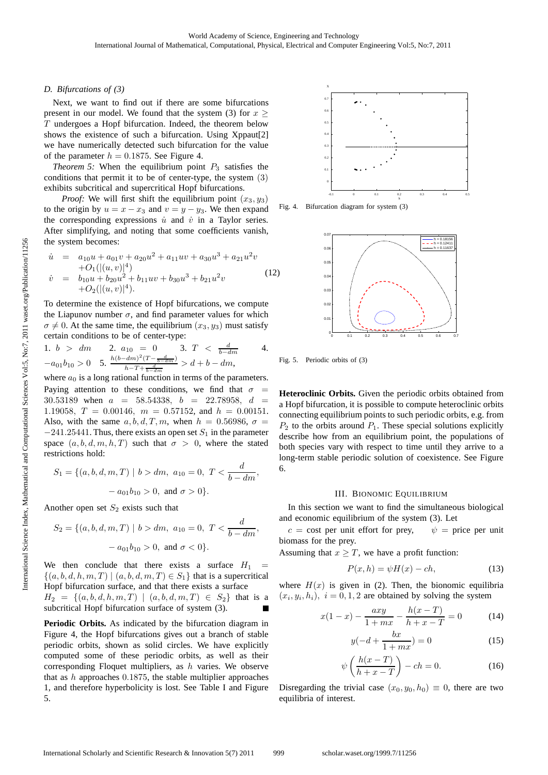## *D. Bifurcations of (3)*

Next, we want to find out if there are some bifurcations present in our model. We found that the system (3) for  $x >$ T undergoes a Hopf bifurcation. Indeed, the theorem below shows the existence of such a bifurcation. Using Xppaut[2] we have numerically detected such bifurcation for the value of the parameter  $h = 0.1875$ . See Figure 4.

*Theorem 5:* When the equilibrium point  $P_3$  satisfies the conditions that permit it to be of center-type, the system (3) exhibits subcritical and supercritical Hopf bifurcations.

*Proof:* We will first shift the equilibrium point  $(x_3, y_3)$ to the origin by  $u = x - x_3$  and  $v = y - y_3$ . We then expand the corresponding expressions  $\dot{u}$  and  $\dot{v}$  in a Taylor series. After simplifying, and noting that some coefficients vanish, the system becomes:

$$
\dot{u} = a_{10}u + a_{01}v + a_{20}u^{2} + a_{11}uv + a_{30}u^{3} + a_{21}u^{2}v
$$
  
\n
$$
\dot{v} = b_{10}u + b_{20}u^{2} + b_{11}uv + b_{30}u^{3} + b_{21}u^{2}v
$$
  
\n
$$
+O_{2}((u, v))^{4}).
$$
\n(12)

To determine the existence of Hopf bifurcations, we compute the Liapunov number  $\sigma$ , and find parameter values for which  $\sigma \neq 0$ . At the same time, the equilibrium  $(x_3, y_3)$  must satisfy certain conditions to be of center-type:

1. 
$$
b > dm
$$
 2.  $a_{10} = 0$  3.  $T < \frac{d}{b-dm}$  4.  
\n $-a_{01}b_{10} > 0$  5.  $\frac{h(b-dm)^2(T - \frac{d}{b-dm})}{h - T + \frac{d}{b-dm}} > d + b - dm$ ,

where  $a_0$  is a long rational function in terms of the parameters. Paying attention to these conditions, we find that  $\sigma$  = 30.53189 when  $a = 58.54338$ ,  $b = 22.78958$ ,  $d =$ 1.19058,  $T = 0.00146$ ,  $m = 0.57152$ , and  $h = 0.00151$ . Also, with the same  $a, b, d, T, m$ , when  $h = 0.56986$ ,  $\sigma =$  $-241.25441$ . Thus, there exists an open set  $S_1$  in the parameter space  $(a, b, d, m, h, T)$  such that  $\sigma > 0$ , where the stated restrictions hold:

$$
S_1 = \{(a, b, d, m, T) \mid b > dm, a_{10} = 0, T < \frac{d}{b - dm},
$$
  

$$
- a_{01}b_{10} > 0, \text{ and } \sigma > 0 \}.
$$

Another open set  $S_2$  exists such that

$$
S_2 = \{(a, b, d, m, T) \mid b > dm, a_{10} = 0, T < \frac{d}{b - dm},
$$
  

$$
- a_{01}b_{10} > 0, \text{ and } \sigma < 0 \}.
$$

We then conclude that there exists a surface  $H_1$  =  $\{(a, b, d, h, m, T) | (a, b, d, m, T) \in S_1\}$  that is a supercritical Hopf bifurcation surface, and that there exists a surface

 $H_2 = \{(a, b, d, h, m, T) | (a, b, d, m, T) \in S_2\}$  that is a subcritical Hopf bifurcation surface of system (3).

Periodic Orbits. As indicated by the bifurcation diagram in Figure 4, the Hopf bifurcations gives out a branch of stable periodic orbits, shown as solid circles. We have explicitly computed some of these periodic orbits, as well as their corresponding Floquet multipliers, as  $h$  varies. We observe that as  $h$  approaches 0.1875, the stable multiplier approaches 1, and therefore hyperbolicity is lost. See Table I and Figure 5.



Fig. 4. Bifurcation diagram for system (3)



Fig. 5. Periodic orbits of (3)

**Heteroclinic Orbits.** Given the periodic orbits obtained from a Hopf bifurcation, it is possible to compute heteroclinic orbits connecting equilibrium points to such periodic orbits, e.g. from  $P_2$  to the orbits around  $P_1$ . These special solutions explicitly describe how from an equilibrium point, the populations of both species vary with respect to time until they arrive to a long-term stable periodic solution of coexistence. See Figure 6.

## III. BIONOMIC EQUILIBRIUM

In this section we want to find the simultaneous biological and economic equilibrium of the system (3). Let

 $c = \text{cost}$  per unit effort for prey,  $\psi = \text{price}$  per unit biomass for the prey.

Assuming that  $x \geq T$ , we have a profit function:

$$
P(x,h) = \psi H(x) - ch,\t(13)
$$

where  $H(x)$  is given in (2). Then, the bionomic equilibria  $(x_i, y_i, h_i), i = 0, 1, 2$  are obtained by solving the system

$$
x(1-x) - \frac{axy}{1+mx} - \frac{h(x-T)}{h+x-T} = 0
$$
 (14)

$$
y(-d + \frac{bx}{1+mx}) = 0\tag{15}
$$

$$
\psi\left(\frac{h(x-T)}{h+x-T}\right) - ch = 0.\tag{16}
$$

Disregarding the trivial case  $(x_0, y_0, h_0) \equiv 0$ , there are two equilibria of interest.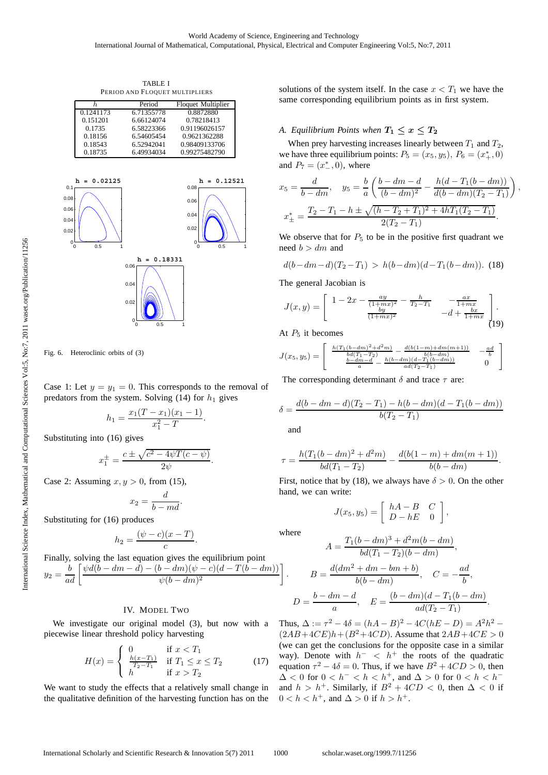TABLE I PERIOD AND FLOQUET MULTIPLIERS

| h.        | Period     | <b>Floquet Multiplier</b> |
|-----------|------------|---------------------------|
| 0.1241173 | 6.71355778 | 0.8872880                 |
| 0.151201  | 6.66124074 | 0.78218413                |
| 0.1735    | 6.58223366 | 0.91196026157             |
| 0.18156   | 6.54605454 | 0.9621362288              |
| 0.18543   | 6.52942041 | 0.98409133706             |
| 0.18735   | 6.49934034 | 0.99275482790             |



Fig. 6. Heteroclinic orbits of (3)

Case 1: Let  $y = y_1 = 0$ . This corresponds to the removal of predators from the system. Solving (14) for  $h_1$  gives

$$
h_1 = \frac{x_1(T - x_1)(x_1 - 1)}{x_1^2 - T}.
$$

Substituting into (16) gives

$$
x_1^{\pm}=\frac{c\pm\sqrt{c^2-4\psi T(c-\psi)}}{2\psi}.
$$

Case 2: Assuming  $x, y > 0$ , from (15),

$$
x_2 = \frac{d}{b - md}.
$$

Substituting for (16) produces

$$
h_2 = \frac{(\psi - c)(x - T)}{c}.
$$

Finally, solving the last equation gives the equilibrium point  $y_2 = \frac{b}{ad} \left[ \frac{\psi d (b - dm - d) - (b - dm) (\psi - c) (d - T (b - dm))}{\psi (b - dm)^2} \right]$  $\overline{\psi(b-dm)^2}$ 1

# IV. MODEL TWO

We investigate our original model (3), but now with a piecewise linear threshold policy harvesting

$$
H(x) = \begin{cases} 0 & \text{if } x < T_1 \\ \frac{h(x - T_1)}{T_2 - T_1} & \text{if } T_1 \le x \le T_2 \\ h & \text{if } x > T_2 \end{cases}
$$
(17)

We want to study the effects that a relatively small change in the qualitative definition of the harvesting function has on the solutions of the system itself. In the case  $x < T_1$  we have the same corresponding equilibrium points as in first system.

## *A. Equilibrium Points when*  $T_1 \leq x \leq T_2$

When prey harvesting increases linearly between  $T_1$  and  $T_2$ , we have three equilibrium points:  $P_5 = (x_5, y_5), P_6 = (x_+^*, 0)$ and  $P_7 = (x_ -^*, 0)$ , where

$$
x_5 = \frac{d}{b - dm}, \quad y_5 = \frac{b}{a} \left( \frac{b - dm - d}{(b - dm)^2} - \frac{h(d - T_1(b - dm))}{d(b - dm)(T_2 - T_1)} \right),
$$
  

$$
x_{\pm}^* = \frac{T_2 - T_1 - h \pm \sqrt{(h - T_2 + T_1)^2 + 4hT_1(T_2 - T_1)}}{2(T_2 - T_1)}.
$$

We observe that for  $P_5$  to be in the positive first quadrant we need  $b > dm$  and

$$
d(b-dm-d)(T_2-T_1) > h(b-dm)(d-T_1(b-dm)). \text{ (18)}
$$

The general Jacobian is

$$
J(x,y) = \begin{bmatrix} 1 - 2x - \frac{ay}{(1+mx)^2} - \frac{h}{T_2 - T_1} & -\frac{ax}{1+mx} \\ \frac{by}{(1+mx)^2} & -d + \frac{bx}{1+mx} \end{bmatrix}.
$$
 (19)

At  $P_5$  it becomes

$$
J(x_5, y_5) = \begin{bmatrix} \frac{h(T_1(b-dm)^2 + d^2m)}{bd(T_1 - T_2)} - \frac{d(b(1-m) + dm(m+1))}{b(b-dm)} & -\frac{ad}{b} \\ \frac{b-dm-d}{a} - \frac{h(b-dm)(d - T_1(b-dm))}{ad(T_2 - T_1)} & 0 \end{bmatrix}
$$

The corresponding determinant  $\delta$  and trace  $\tau$  are:

$$
\delta = \frac{d(b - dm - d)(T_2 - T_1) - h(b - dm)(d - T_1(b - dm))}{b(T_2 - T_1)}
$$

and

$$
\tau = \frac{h(T_1(b-dm)^2 + d^2m)}{bd(T_1 - T_2)} - \frac{d(b(1-m) + dm(m+1))}{b(b-dm)}.
$$

First, notice that by (18), we always have  $\delta > 0$ . On the other hand, we can write:

$$
J(x_5, y_5) = \left[ \begin{array}{cc} hA - B & C \\ D - hE & 0 \end{array} \right],
$$

where

.

$$
A = \frac{T_1(b - dm)^3 + d^2m(b - dm)}{bd(T_1 - T_2)(b - dm)},
$$
  

$$
B = \frac{d(dm^2 + dm - bm + b)}{b(b - dm)}, \quad C = -\frac{ad}{b}
$$

$$
D = \frac{b - dm - d}{a}, \quad E = \frac{(b - dm)(d - T_1(b - dm))}{ad(T_2 - T_1)}.
$$

 $rac{b}{b}$ ,

Thus,  $\Delta := \tau^2 - 4\delta = (hA - B)^2 - 4C(hE - D) = A^2h^2$  $(2AB+4CE)h+(B^2+4CD)$ . Assume that  $2AB+4CE > 0$ (we can get the conclusions for the opposite case in a similar way). Denote with  $h^-$  <  $h^+$  the roots of the quadratic equation  $\tau^2 - 4\delta = 0$ . Thus, if we have  $B^2 + 4CD > 0$ , then  $\Delta < 0$  for  $0 < h^- < h < h^+$ , and  $\Delta > 0$  for  $0 < h < h^-$ and  $h > h^+$ . Similarly, if  $B^2 + 4CD < 0$ , then  $\Delta < 0$  if  $0 < h < h^+$ , and  $\Delta > 0$  if  $h > h^+$ .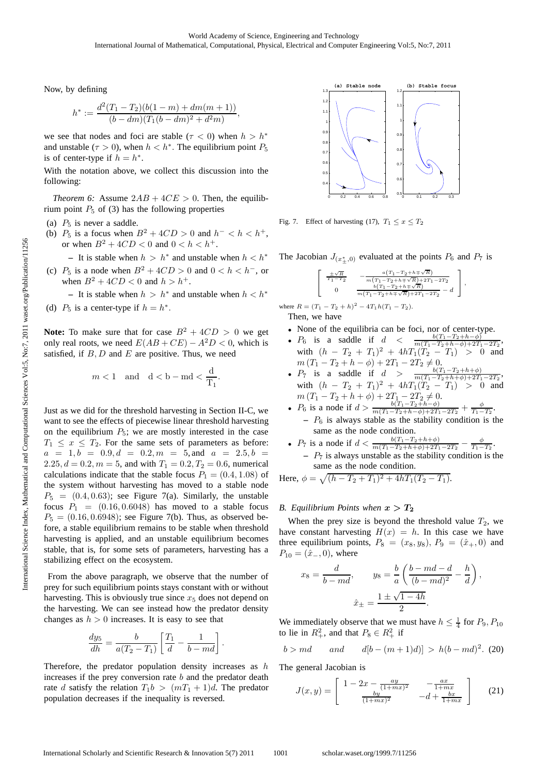Now, by defining

$$
h^* := \frac{d^2(T_1 - T_2)(b(1 - m) + dm(m + 1))}{(b - dm)(T_1(b - dm)^2 + d^2m)},
$$

we see that nodes and foci are stable ( $\tau$  < 0) when  $h > h^*$ and unstable ( $\tau > 0$ ), when  $h < h^*$ . The equilibrium point  $P_5$ is of center-type if  $h = h^*$ .

With the notation above, we collect this discussion into the following:

*Theorem 6:* Assume  $2AB + 4CE > 0$ . Then, the equilibrium point  $P_5$  of (3) has the following properties

- (a)  $P_5$  is never a saddle.
- (b)  $P_5$  is a focus when  $B^2 + 4CD > 0$  and  $h^- < h < h^+$ , or when  $B^2 + 4CD < 0$  and  $0 < h < h^+$ .

**−** It is stable when  $h > h<sup>∗</sup>$  and unstable when  $h < h<sup>∗</sup>$ 

- (c)  $P_5$  is a node when  $B^2 + 4CD > 0$  and  $0 < h < h^-$ , or when  $B^2 + 4CD < 0$  and  $h > h^+$ .
- **−** It is stable when  $h > h<sup>∗</sup>$  and unstable when  $h < h<sup>∗</sup>$ (d)  $P_5$  is a center-type if  $h = h^*$ .

**Note:** To make sure that for case  $B^2 + 4CD > 0$  we get only real roots, we need  $E(AB + CE) - A^2D < 0$ , which is satisfied, if  $B, D$  and  $E$  are positive. Thus, we need

$$
m<1\quad\text{and}\quad \mathrm{d}<\mathrm{b}-\mathrm{md}<\frac{\mathrm{d}}{\mathrm{T}_1}.
$$

Just as we did for the threshold harvesting in Section II-C, we want to see the effects of piecewise linear threshold harvesting on the equilibrium  $P_5$ ; we are mostly interested in the case  $T_1 \leq x \leq T_2$ . For the same sets of parameters as before:  $a = 1, b = 0.9, d = 0.2, m = 5, and a = 2.5, b = 1$ 2.25,  $d = 0.2, m = 5$ , and with  $T_1 = 0.2, T_2 = 0.6$ , numerical calculations indicate that the stable focus  $P_1 = (0.4, 1.08)$  of the system without harvesting has moved to a stable node  $P_5 = (0.4, 0.63)$ ; see Figure 7(a). Similarly, the unstable focus  $P_1 = (0.16, 0.6048)$  has moved to a stable focus  $P_5 = (0.16, 0.6948)$ ; see Figure 7(b). Thus, as observed before, a stable equilibrium remains to be stable when threshold harvesting is applied, and an unstable equilibrium becomes stable, that is, for some sets of parameters, harvesting has a stabilizing effect on the ecosystem.

From the above paragraph, we observe that the number of prey for such equilibrium points stays constant with or without harvesting. This is obviously true since  $x<sub>5</sub>$  does not depend on the harvesting. We can see instead how the predator density changes as  $h > 0$  increases. It is easy to see that

$$
\frac{dy_5}{dh} = \frac{b}{a(T_2 - T_1)} \left[ \frac{T_1}{d} - \frac{1}{b - md} \right].
$$

Therefore, the predator population density increases as  $h$ increases if the prey conversion rate  $b$  and the predator death rate d satisfy the relation  $T_1b > (mT_1 + 1)d$ . The predator population decreases if the inequality is reversed.



Fig. 7. Effect of harvesting (17),  $T_1 \le x \le T_2$ 

The Jacobian  $J_{(x^*_{\pm},0)}$  evaluated at the points  $P_6$  and  $P_7$  is

$$
\left[ \begin{array}{cc} \frac{\pm \sqrt{R}}{T_1-T_2} & -\frac{a \left(T_1-T_2+h \mp \sqrt{R} \right)}{m \left(T_1-T_2+h \mp \sqrt{R} \right)+2T_1-2T_2} \\ 0 & \frac{b \left(T_1-T_2+h \mp \sqrt{R} \right)}{m \left(T_1-T_2+h \mp \sqrt{R} \right)+2T_1-2T_2} -d \end{array} \right]
$$

,

where  $R = (T_1 - T_2 + h)^2 - 4T_1h(T_1 - T_2)$ . Then, we have

- None of the equilibria can be foci, nor of center-type.
- $P_6$  is a saddle if  $d < \frac{b(T_1-T_2+h-\phi)^2}{m(T_1-T_2+h-\phi)+2T_1-2T_2}$ , with  $(h - T_2 + T_1)^2 + 4hT_1(T_2 - T_1) > 0$  and  $m (T_1 - T_2 + h - \phi) + 2T_1 - 2T_2 \neq 0.$
- $P_7$  is a saddle if  $d > \frac{b(T_1 T_2 + h + \phi)}{m(T_1 T_2 + h + \phi) + 2T_1 2T_2}$ with  $(h - T_2 + T_1)^2 + 4hT_1(T_2 - T_1) > 0$  and  $m (T_1 - T_2 + h + \phi) + 2T_1 - 2T_2 \neq 0.$
- $P_6$  is a node if  $d > \frac{b(T_1 T_2 + h \phi)}{m(T_1 T_2 + h \phi) + 2T_1 2T_2} + \frac{\phi}{T_1 T_2}$ .  $- P_6$  is always stable as the stability condition is the same as the node condition.
- $P_7$  is a node if  $d < \frac{b(T_1 T_2 + h + \phi)}{m(T_1 T_2 + h + \phi) + 2T_1 2T_2} \frac{\phi}{T_1 T_2}$ . **–** P<sup>7</sup> is always unstable as the stability condition is the same as the node condition.

Here,  $\phi = \sqrt{(h - T_2 + T_1)^2 + 4hT_1(T_2 - T_1)}$ .

## *B. Equilibrium Points when*  $x > T_2$

When the prey size is beyond the threshold value  $T_2$ , we have constant harvesting  $H(x) = h$ . In this case we have three equilibrium points,  $P_8 = (x_8, y_8), P_9 = (\hat{x}_+, 0)$  and  $P_{10} = (\hat{x}_-, 0)$ , where

$$
x_8 = \frac{d}{b - md}, \qquad y_8 = \frac{b}{a} \left( \frac{b - md - d}{(b - md)^2} - \frac{h}{d} \right),
$$

$$
\hat{x}_\pm = \frac{1 \pm \sqrt{1 - 4h}}{2}.
$$

We immediately observe that we must have  $h \leq \frac{1}{4}$  for  $P_9, P_{10}$ to lie in  $R_+^2$ , and that  $P_8 \in R_+^2$  if

$$
b > md
$$
 and  $d[b-(m+1)d)] > h(b - md)^2$ . (20)

The general Jacobian is

$$
J(x,y) = \begin{bmatrix} 1 - 2x - \frac{ay}{(1+mx)^2} & -\frac{ax}{1+mx} \\ \frac{by}{(1+mx)^2} & -d + \frac{bx}{1+mx} \end{bmatrix}
$$
 (21)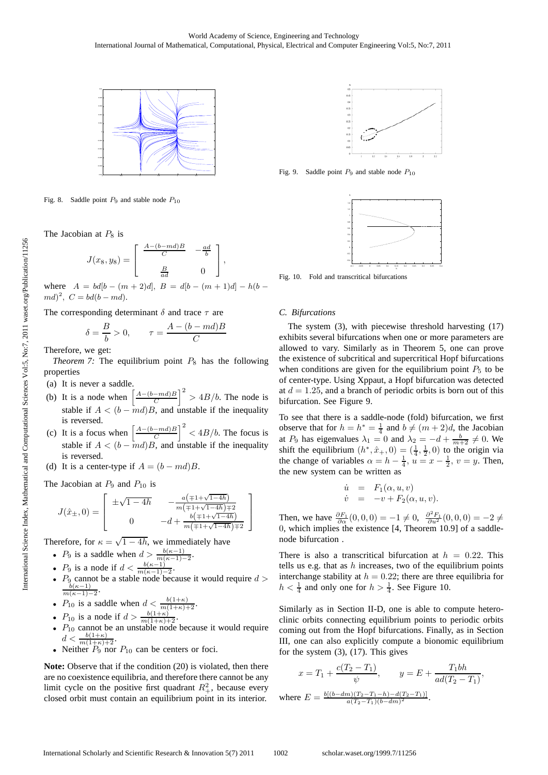

Fig. 8. Saddle point  $P_9$  and stable node  $P_{10}$ 

The Jacobian at  $P_8$  is

$$
J(x_8, y_8) = \begin{bmatrix} \frac{A - (b - md)B}{C} & -\frac{ad}{b} \\ \frac{B}{ad} & 0 \end{bmatrix},
$$

where  $A = bd[b - (m+2)d], B = d[b - (m+1)d] - h(b$  $md)^2$ ,  $C = bd(b - md)$ .

The corresponding determinant  $\delta$  and trace  $\tau$  are

$$
\delta = \frac{B}{b} > 0, \qquad \tau = \frac{A - (b - md)B}{C}
$$

Therefore, we get:

*Theorem 7:* The equilibrium point  $P_8$  has the following properties

(a) It is never a saddle.

- (b) It is a node when  $\left[ \frac{A-(b-md)B}{C} \right]$  $\left[\frac{-md}{C}\right]^2 > 4B/b$ . The node is stable if  $A < (b - \overline{m}d)B$ , and unstable if the inequality is reversed.
- (c) It is a focus when  $\left[ \frac{A-(b-md)B}{C} \right]$  $\left[\frac{-md}{C}\right]^2$  <  $4B/b$ . The focus is stable if  $A < (b - \overline{m}d)B$ , and unstable if the inequality is reversed.
- (d) It is a center-type if  $A = (b md)B$ .

The Jacobian at  $P_9$  and  $P_{10}$  is

$$
J(\hat{x}_{\pm},0) = \begin{bmatrix} \pm\sqrt{1-4h} & -\frac{a\left(\mp1+\sqrt{1-4h}\right)}{m\left(\mp1+\sqrt{1-4h}\right)\mp2} \\ 0 & -d+\frac{b\left(\mp1+\sqrt{1-4h}\right)}{m\left(\mp1+\sqrt{1-4h}\right)\mp2} \end{bmatrix}
$$

Therefore, for  $\kappa = \sqrt{1 - 4h}$ , we immediately have

- $P_9$  is a saddle when  $d > \frac{b(\kappa-1)}{m(\kappa-1)-2}$ .
- $P_9$  is a node if  $d < \frac{b(\kappa-1)}{m(\kappa-1)-2}$ .
- $P_9$  cannot be a stable node because it would require  $d > \frac{b(\kappa-1)}{m(\kappa-1)-2}$ .
- $P_{10}$  is a saddle when  $d < \frac{b(1+\kappa)}{m(1+\kappa)+2}$ .
- $P_{10}$  is a node if  $d > \frac{b(1+\kappa)}{m(1+\kappa)+2}$ .
- $P_{10}$  cannot be an unstable node because it would require  $d < \frac{b(1+\kappa)}{m(1+\kappa)+2}.$
- Neither  $P_9$  nor  $P_{10}$  can be centers or foci.

**Note:** Observe that if the condition (20) is violated, then there are no coexistence equilibria, and therefore there cannot be any limit cycle on the positive first quadrant  $R^2_+$ , because every closed orbit must contain an equilibrium point in its interior.



Fig. 9. Saddle point  $P_9$  and stable node  $P_{10}$ 



Fig. 10. Fold and transcritical bifurcations

#### *C. Bifurcations*

The system (3), with piecewise threshold harvesting (17) exhibits several bifurcations when one or more parameters are allowed to vary. Similarly as in Theorem 5, one can prove the existence of subcritical and supercritical Hopf bifurcations when conditions are given for the equilibrium point  $P_5$  to be of center-type. Using Xppaut, a Hopf bifurcation was detected at  $d = 1.25$ , and a branch of periodic orbits is born out of this bifurcation. See Figure 9.

To see that there is a saddle-node (fold) bifurcation, we first observe that for  $h = h^* = \frac{1}{4}$  and  $b \neq (m+2)d$ , the Jacobian at  $P_9$  has eigenvalues  $\lambda_1 = 0$  and  $\lambda_2 = -d + \frac{b}{m+2} \neq 0$ . We shift the equilibrium  $(h^*, \hat{x}_+, 0) = (\frac{1}{4}, \frac{1}{2}, 0)$  to the origin via the change of variables  $\alpha = h - \frac{1}{4}$ ,  $u = x - \frac{1}{2}$ ,  $v = y$ . Then, the new system can be written as

$$
\dot{u} = F_1(\alpha, u, v)
$$
  

$$
\dot{v} = -v + F_2(\alpha, u, v).
$$

Then, we have  $\frac{\partial F_1}{\partial \alpha}(0,0,0) = -1 \neq 0$ ,  $\frac{\partial^2 F_1}{\partial u^2}(0,0,0) = -2 \neq 0$ 0, which implies the existence [4, Theorem 10.9] of a saddlenode bifurcation .

There is also a transcritical bifurcation at  $h = 0.22$ . This tells us e.g. that as  $h$  increases, two of the equilibrium points interchange stability at  $h = 0.22$ ; there are three equilibria for  $h < \frac{1}{4}$  and only one for  $h > \frac{1}{4}$ . See Figure 10.

Similarly as in Section II-D, one is able to compute heteroclinic orbits connecting equilibrium points to periodic orbits coming out from the Hopf bifurcations. Finally, as in Section III, one can also explicitly compute a bionomic equilibrium for the system (3), (17). This gives

$$
x = T_1 + \frac{c(T_2 - T_1)}{\psi}, \qquad y = E + \frac{T_1 bh}{ad(T_2 - T_1)},
$$
  
where  $E = \frac{b[(b - dm)(T_2 - T_1 - h) - d(T_2 - T_1)]}{a(T_2 - T_1)(b - dm)^2}.$